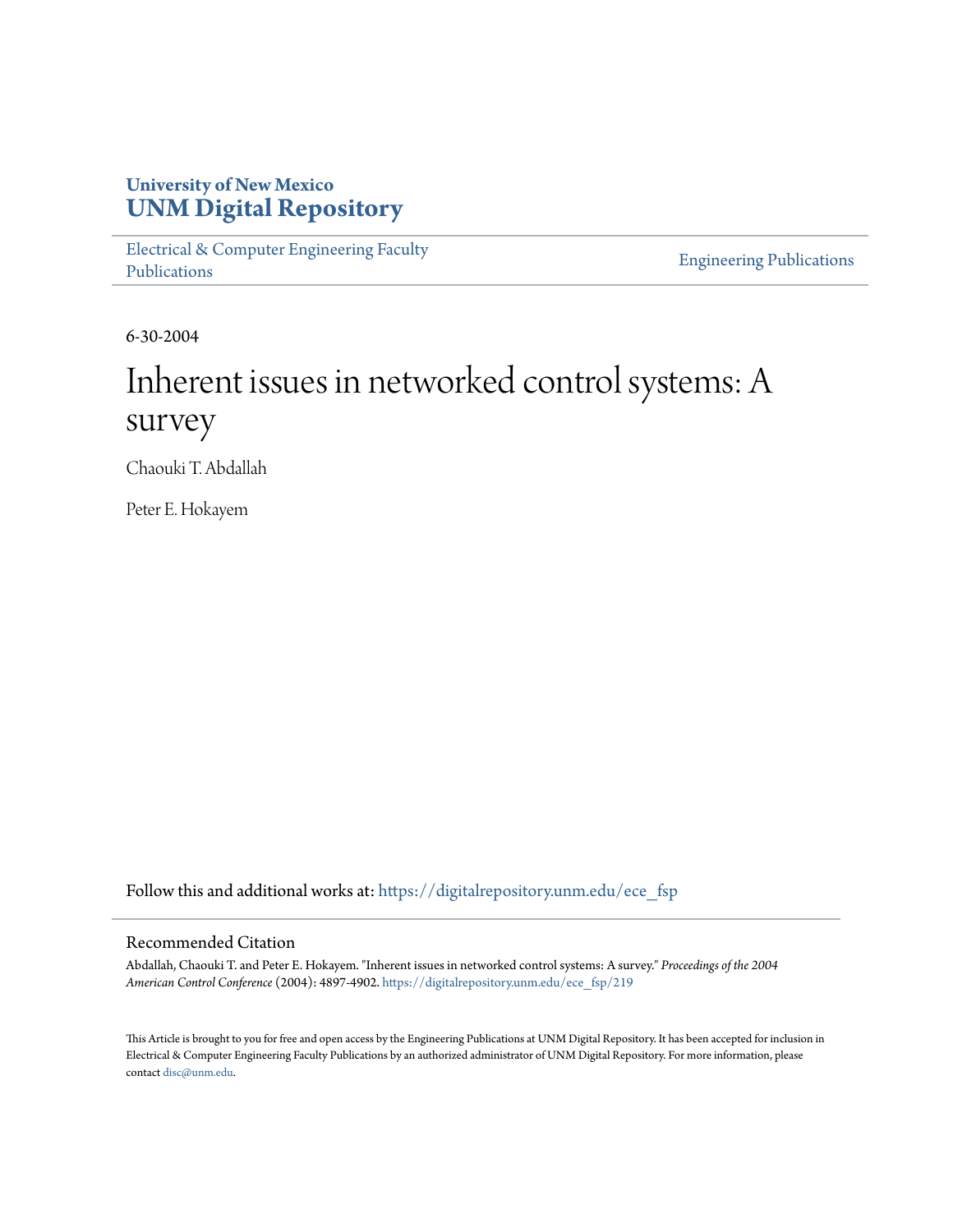# **University of New Mexico [UNM Digital Repository](https://digitalrepository.unm.edu?utm_source=digitalrepository.unm.edu%2Fece_fsp%2F219&utm_medium=PDF&utm_campaign=PDFCoverPages)**

[Electrical & Computer Engineering Faculty](https://digitalrepository.unm.edu/ece_fsp?utm_source=digitalrepository.unm.edu%2Fece_fsp%2F219&utm_medium=PDF&utm_campaign=PDFCoverPages) [Publications](https://digitalrepository.unm.edu/ece_fsp?utm_source=digitalrepository.unm.edu%2Fece_fsp%2F219&utm_medium=PDF&utm_campaign=PDFCoverPages)

[Engineering Publications](https://digitalrepository.unm.edu/eng_fsp?utm_source=digitalrepository.unm.edu%2Fece_fsp%2F219&utm_medium=PDF&utm_campaign=PDFCoverPages)

6-30-2004

# Inherent issues in networked control systems: A survey

Chaouki T. Abdallah

Peter E. Hokayem

Follow this and additional works at: [https://digitalrepository.unm.edu/ece\\_fsp](https://digitalrepository.unm.edu/ece_fsp?utm_source=digitalrepository.unm.edu%2Fece_fsp%2F219&utm_medium=PDF&utm_campaign=PDFCoverPages)

## Recommended Citation

Abdallah, Chaouki T. and Peter E. Hokayem. "Inherent issues in networked control systems: A survey." *Proceedings of the 2004 American Control Conference* (2004): 4897-4902. [https://digitalrepository.unm.edu/ece\\_fsp/219](https://digitalrepository.unm.edu/ece_fsp/219?utm_source=digitalrepository.unm.edu%2Fece_fsp%2F219&utm_medium=PDF&utm_campaign=PDFCoverPages)

This Article is brought to you for free and open access by the Engineering Publications at UNM Digital Repository. It has been accepted for inclusion in Electrical & Computer Engineering Faculty Publications by an authorized administrator of UNM Digital Repository. For more information, please contact [disc@unm.edu.](mailto:disc@unm.edu)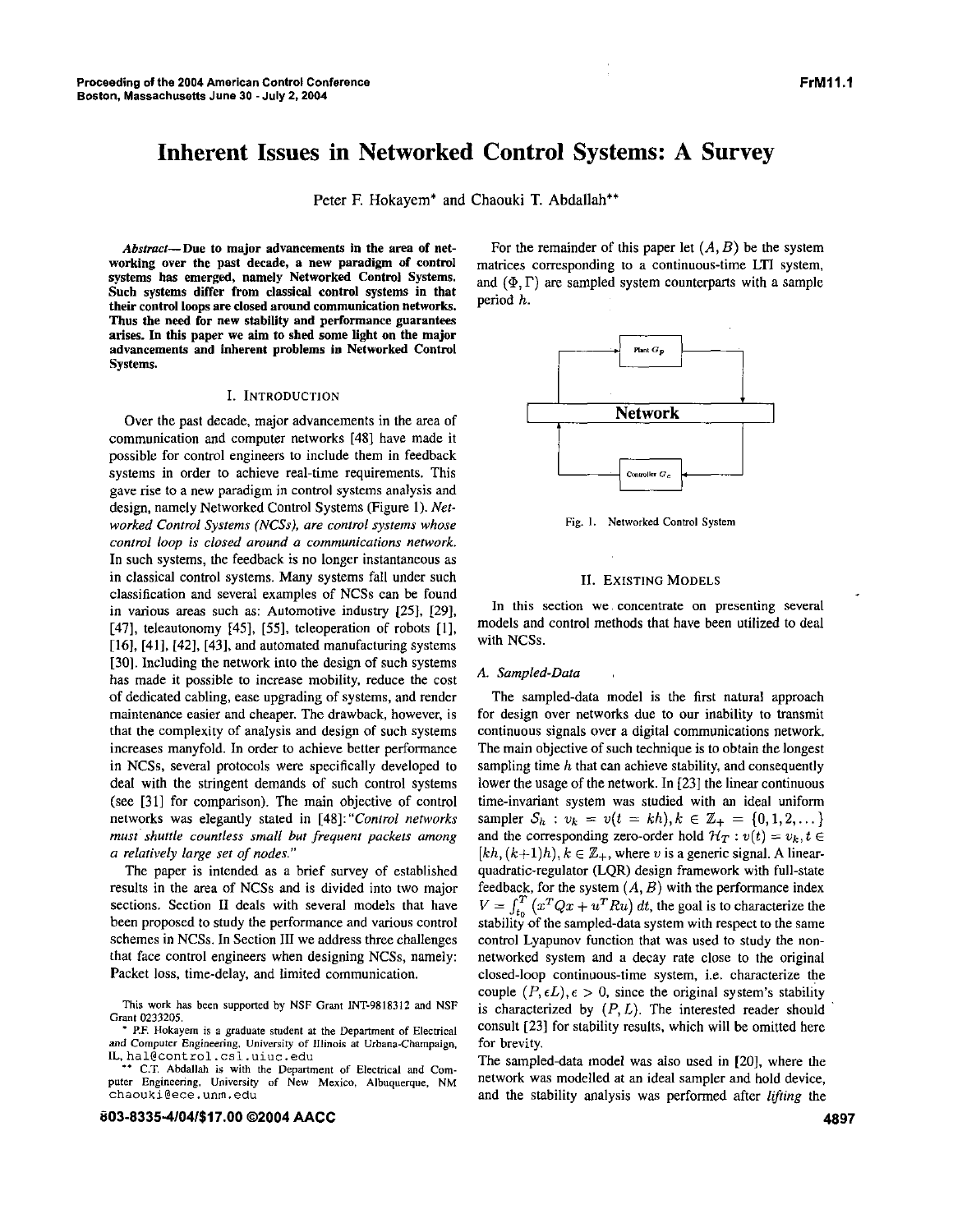## **Inherent Issues in Networked Control Systems: A Survey**

Peter F. Hokayem<sup>\*</sup> and Chaouki T. Abdallah<sup>\*\*</sup>

Abstract—Due to major advancements in the area of net**working over the past decade, a new paradigm of control systems has emerged, namely Networked Control Systems. Such systems differ from classical control systems in that their control loops are** *closed* **around communication networks. Thus the need for new stability and performance guarantees arises.** In **this paper we aim to shed some light on the major advancements and inherent problems in Networked Control Systems.** 

#### I. INTRODUCTION

Over the past decade, major advancements in the area of communication and computer networks **[48]** have made it possible for control engineers to include them in feedback systems in order to achieve real-time requirements. This gave rise to a new paradigm in control systems analysis and design, namely Networked Control Systems (Figure 1). *Networked Control Systems (NCSsJ, are control systems whose conrrol loop is closed around a communications network.*  In such systems, the feedback is no longer instantaneous **as**  in classical control systems. Many systems fall under such classification and several examples of NCSs can be found in various areas such as: Automotive industry *[25],* 1291, [47], teleautonomy **1451, [SI,** teleoperation of robots [l], [16], **[411, 1421, [431,** and automated manufacturing systems [30]. Including the network into the design of such systems has made it possible to increase mobility, reduce the cost of dedicated cabling, ease upgrading of systems, and render maintenance easier and cheaper. The drawback, however, is that the complexity of analysis and design of such systems increases manyfold. In order to achieve better performance in NCSs, several protocols were specifically developed to deal with the stringent demands of such control systems (see 1311 for comparison). The main objective of control networks was elegantly stated in **[48]:** *"Conrrol* networks *must' shuttle countless small but frequent packets among a relatively large ser* of *nodes."* 

The paper is intended as a brief survey of established results in the area of NCSs and is divided into two major sections. Section **I1** deals with several models that have been proposed to study the performance and various control schemes in NCSs. In Section III we address three challenges that face control engineers when designing NCSs, namely: Packet loss, time-delay, and limited communication.

This **work** has been supponed by NSF Grant INT-981831? and NSF Grant 0233205.

\* P.F. Hokayem **is a** graduate student at the Department of Electrical and Computer Engineering. University of Illinois at Urbana-Champaign, IL, hal@control.csl.uiuc.edu

C.T. Abdallah **is** with the Department of Electrical and Computer Engineenng, University of New Mexico, Albuquerque, NM [chaouki@ece.unm.edu](mailto:chaouki@ece.unm.edu)

#### **803-8335404/\$17.00 02004 AACC**

For the remainder of this paper let  $(A, B)$  be the system matrices corresponding to a continuous-time LTI system, and  $(\Phi, \Gamma)$  are sampled system counterparts with a sample period h.



Fig. **I.** Networked Control System

#### **11. EXISTING** MODELS

In this section we, concentrate on presenting several models and control methods that have been utilized to deal with NCSs.

#### *A. Sampled-Data*

The sampled-data model is the first natural approach for design over networks due to our inability to transmit continuous signals over a digital communications network. The main objective of such technique is to obtain the longest sampling time  $h$  that can achieve stability, and consequently lower the usage of the network. In [23] the linear continuous time-invariant system was studied with an ideal uniform sampler  $S_h$ :  $v_k = v(t = kh), k \in \mathbb{Z}_+ = \{0, 1, 2, \dots\}$ and the corresponding zero-order hold  $\mathcal{H}_T : v(t) = v_k, t \in$  $[kh, (k+1)h], k \in \mathbb{Z}_+$ , where *v* is a generic signal. A linearquadratic-regulator **(LQR)** design framework with full-state feedback, for the system  $(A, B)$  with the performance index  $V = \int_{t_0}^{T} (x^T Q x + u^T R u) dt$ , the goal is to characterize the stability of the sampled-data system with respect to the same control Lyapunov function that was used to study the nonnetworked system and a decay rate close to the original closed-loop continuous-time system, i.e. characterize the couple  $(P, \epsilon L)$ ,  $\epsilon > 0$ , since the original system's stability is characterized by *(P,L).* The interested reader should consult **[231** for stability results, which will be omitted here for brevity.

The sampled-data model was also used in [20], where the network was modelled at an ideal sampler and hold device, and the stability analysis was performed after *lifting* the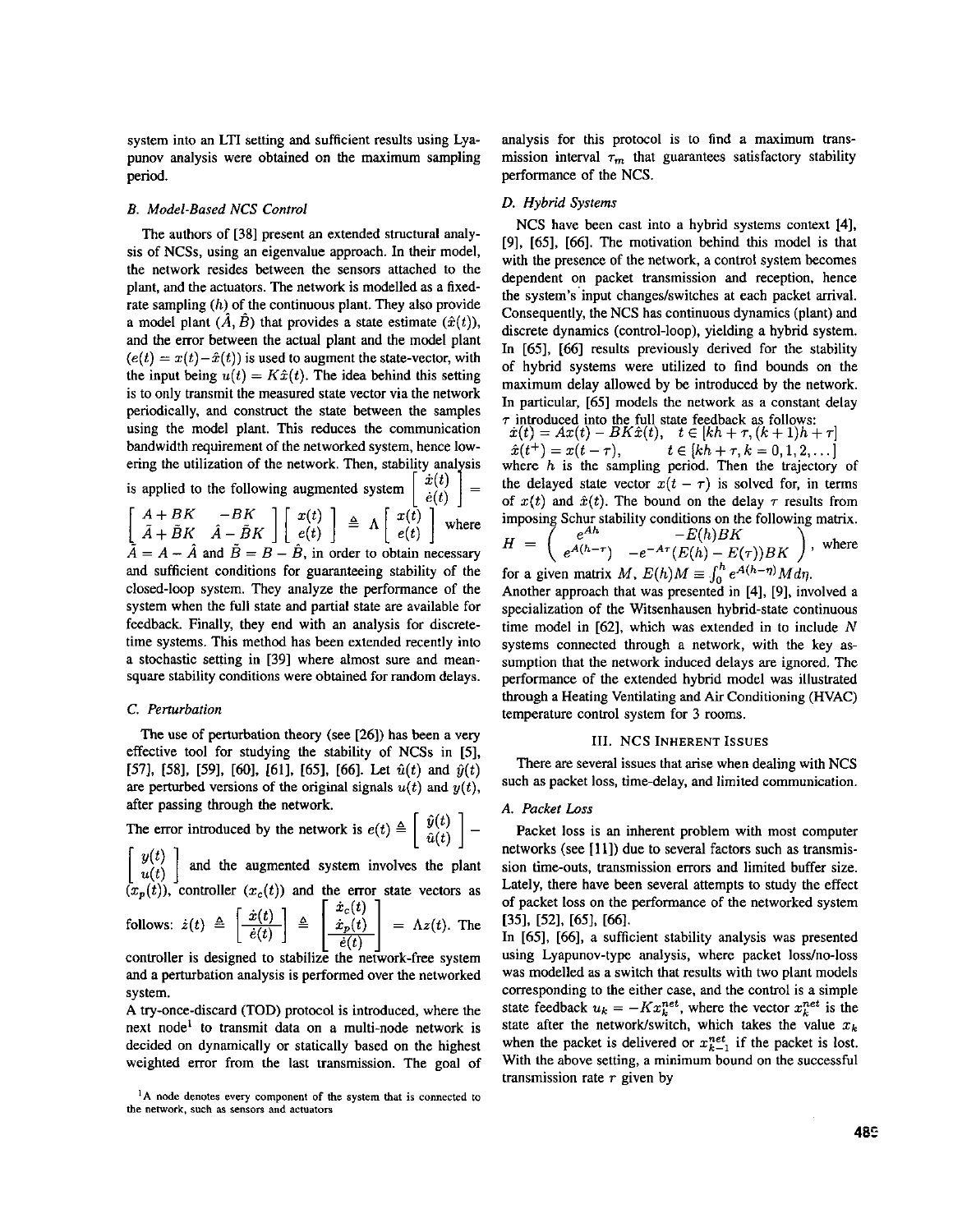system into an LTI setting and sufficient results using Lyapunov analysis were obtained on the maximum sampling period.

#### B. Model-Based NCS Control

The authors of [38] present an extended structural analysis of NCSs, using an eigenvalue approach. In their model, the network resides between the sensors attached to the plant, and the actuators. The network is modelled as a fixedrate sampling  $(h)$  of the continuous plant. They also provide a model plant  $(\hat{A}, \hat{B})$  that provides a state estimate  $(\hat{x}(t))$ , and the error between the actual plant and the model plant  $(e(t) = x(t) - \hat{x}(t))$  is used to augment the state-vector, with the input being  $u(t) = K\hat{x}(t)$ . The idea behind this setting is to only transmit the measured state vector via the network periodically, and construct the state between the samples using the model plant. This reduces the communication bandwidth requirement of the networked system, hence lowering the utilization of the network. Then, stability analysis is applied to the following augmented system  $\begin{bmatrix} \dot{x}(t) \\ \dot{e}(t) \end{bmatrix} = \begin{bmatrix} A + BK & -BK \\ \tilde{A} + \tilde{B}K & \hat{A} - \tilde{B}K \end{bmatrix} \begin{bmatrix} x(t) \\ e(t) \end{bmatrix} \triangleq \Lambda \begin{bmatrix} x(t) \\ e(t) \end{bmatrix}$  where  $\tilde{A} = A - \hat{A}$  and  $\tilde{B} = B - \hat{B}$ , in order to obtain necessary and sufficient conditions for guaranteeing stability of the closed-loop system. They analyze the performance of the system when the full state and partial state are available for feedback. Finally, they end with an analysis for discretetime systems. This method has been extended recently into a stochastic setting in [39] where almost sure and meansquare stability conditions were obtained for random delays.

#### *C.* Perturbation

The use of perturbation theory (see [26]) has been a very effective tool for studying the stability of NCSs in [5], [57], [58], [59], [60], [61], [65], [66]. Let  $\hat{u}(t)$  and  $\hat{y}(t)$ are perturbed versions of the original signals  $u(t)$  and  $y(t)$ , after passing through the network.

The error introduced by the network is  $e(t)$  $\left[ \begin{array}{c} \hat{y}(t) \ \hat{u}(t) \end{array} \right] = -$ 

 $\left[\begin{array}{c} y(t) \\ y(t) \end{array}\right]$  and the augmented system involves the plant  $(x_p(t))$ , controller  $(x_c(t))$  and the error state vectors as

follows: 
$$
\dot{z}(t) \triangleq \left\lfloor \frac{x(t)}{\dot{e}(t)} \right\rfloor \triangleq \left\lfloor \frac{\dot{x}_p(t)}{\dot{e}(t)} \right\rfloor = \Lambda z(t)
$$
. The controller is designed to stabilize the network-free system

and a perturbation analysis is performed over the networked system.

A try-once-discard (TOD) protocol is introduced, where the next node' **to** transmit data on a multi-node network is decided on dynamically or statically based on the highest weighted error from the last transmission. The goal of

**'A node denotes every component of the system that is connected to the nelwork. such as sensors and aCNatorS** 

analysis for this protocol is to find a maximum transmission interval  $\tau_m$  that guarantees satisfactory stability performance of the NCS.

#### *D.* Hybrid Systems

NCS have been cast into a hybrid systems context [4], [9], [65], [66]. The motivation behind this model is that with the presence of the network, **a** control system becomes dependent on packet transmission and reception, hence the system's input changes/switches at each packet arrival. Consequently, the NCS has continuous dynamics (plant) and discrete dynamics (control-loop), yielding a hybrid system. In [65], [66] results previously derived for the stability of hybrid systems were utilized to find bounds on the maximum delay allowed by be introduced by the network. In particular, [65] models the network **as** a constant delay  $\tau$  introduced into the full state feedback as follows: introduced into the full state feedback as follows:<br> $\dot{x}(t) = Ax(t) - BK\hat{x}(t), \quad t \in [kh + \tau, (k+1)h +$ 

 $\begin{array}{l} x(t) = Ax(t) - BKx(t), \quad t \in [kh + \tau, (k+1)h + \tau] \ \hat{x}(t^+) = x(t - \tau), \qquad t \in [kh + \tau, k = 0, 1, 2, \ldots] \end{array}$  $\hat{x}(t^+) = x(t - \tau)$ ,  $t \in [kh + \tau, k = 0, 1, 2, \dots]$ <br>where *h* is the sampling period. Then the trajectory of the delayed state vector  $x(t - \tau)$  is solved for, in terms of  $x(t)$  and  $\hat{x}(t)$ . The bound on the delay  $\tau$  results from imposing Schur stability conditions on the following matrix.<br> $\begin{pmatrix} e^{Ah} & -E(h)BK \end{pmatrix}$  $-E(h)BK$  $H =$  $$ 

$$
f^{H} = \left( e^{A(h-\tau)} - e^{-A\tau} (E(h) - E(\tau))BK \right)^{\text{where}}
$$
  
for a given matrix M,  $E(h)M \equiv \int_0^h e^{A(h-\tau)} M d\tau$ .

Another approach that was presented in [4], [9], involved a specialization of the Witsenhausen hybrid-state continuous time model in  $[62]$ , which was extended in to include N systems connected through a network, with the key assumption that the network induced delays are ignored. The performance of the extended hybrid model was illustrated through a Heating Ventilating and Air Conditioning (HVAC) temperature control system for 3 rooms.

#### 111. NCS INHERENT ISSUES

There are several issues that arise when dealing with NCS such as packet loss, time-delay, and limited communication.

#### A. Packet *Loss*

Packet loss is an inherent problem with most computer networks (see [11]) due to several factors such as transmission time-outs, transmission errors and limited buffer size. Lately, there have been several attempts to study the effect of packet loss on the performance of the networked system  $[35]$ ,  $[52]$ ,  $[65]$ ,  $[66]$ .

In [65], [66], a sufficient stability analysis was presented using Lyapunov-type analysis, where packet loss/no-loss was modelled as a switch that results with two plant models corresponding to the either case, and the control is a simple state feedback  $u_k = -Kx_k^{net}$ , where the vector  $x_k^{net}$  is the state after the network/switch, which takes the value  $x_k$ when the packet is delivered or  $x_{k-1}^{net}$  if the packet is lost. With the above setting, a minimum bound on the successful transmission rate *r* given by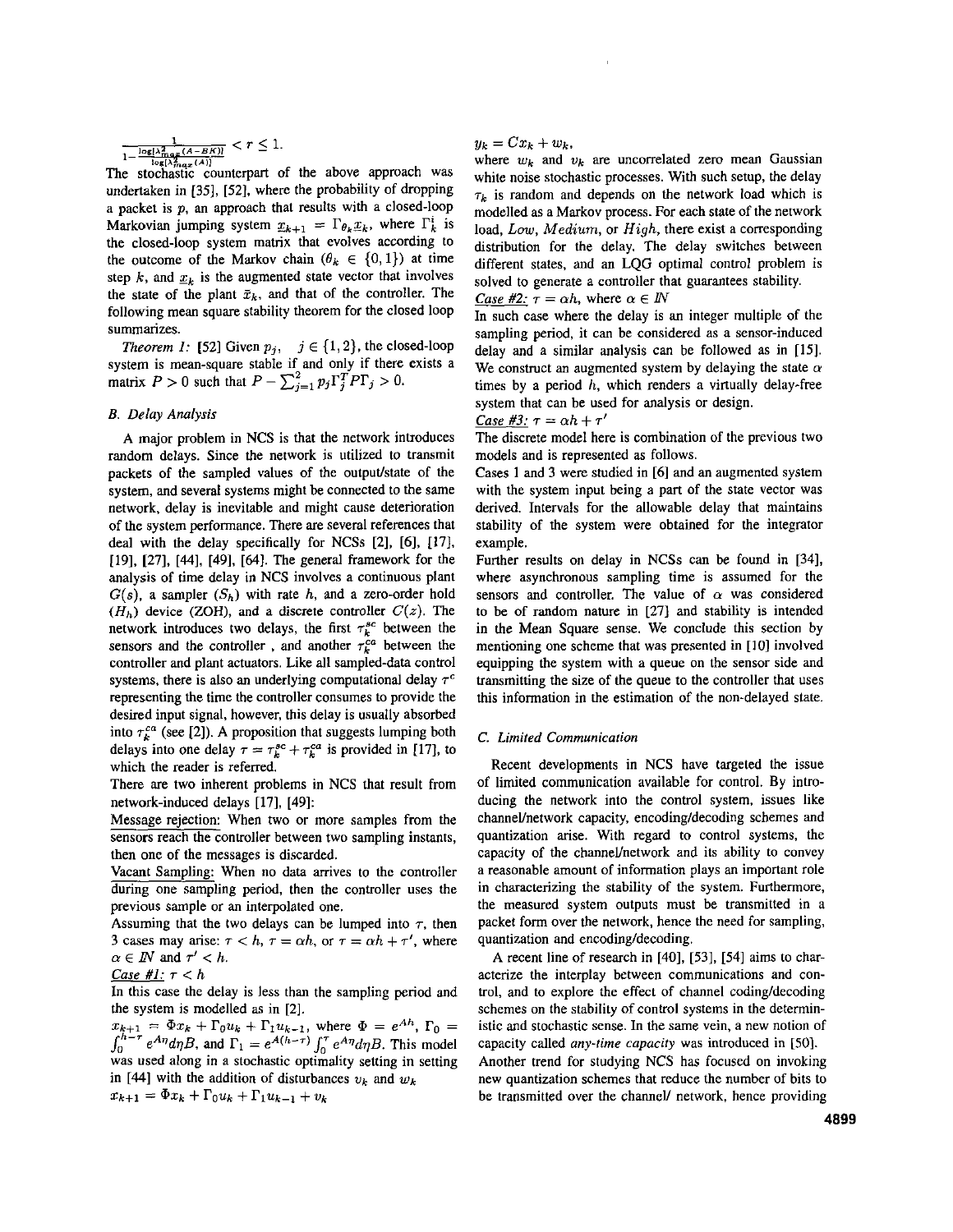$$
\frac{1}{1-\frac{\log(\lambda_{\max}^2(A-BK))}{\log(\lambda^2 - (A))}} < r \le 1.
$$

The stochastic counterpart of the above approach was undertaken in **1351, [52],** where the probability of dropping a packet is  $p$ , an approach that results with a closed-loop Markovian jumping system  $x_{k+1} = \Gamma_{\theta_k} x_k$ , where  $\Gamma_k^i$  is the closed-loop system matrix that evolves according to the outcome of the Markov chain  $(\theta_k \in \{0, 1\})$  at time step  $k$ , and  $x_k$  is the augmented state vector that involves the state of the plant  $\bar{x}_k$ , and that of the controller. The following mean square stability theorem for the closed loop summarizes.

*fheorem 1:* [52] Given  $p_j$ ,  $j \in \{1, 2\}$ , the closed-loop system is mean-square stable if and only if there exists a matrix  $P > 0$  such that  $P - \sum_{j=1}^{2} p_j \Gamma_j^T P \Gamma_j > 0$ .

#### *E. Delay Analysis*

A major problem in NCS is that the network introduces random delays. Since the network is utilized to transmit packets of the sampled values of the output/state of the system, and several systems might he connected to the same network, delay is inevitable and might cause deterioration of the system performance. There are several references that deal with the delay specifically for NCSs [2], [6], [17], [19], [27], [44], [49], [64]. The general framework for the analysis of time delay in NCS involves a continuous plant  $G(s)$ , a sampler  $(S_h)$  with rate h, and a zero-order hold  $(H_h)$  device (ZOH), and a discrete controller  $C(z)$ . The  $(n_h)$  device (zOH), and a discrete controller  $C(2)$ . The network introduces two delays, the first  $\tau_k^{sc}$  between the sensors and the controller, and another  $\tau_k^{ca}$  between the controller and plant actuators. Like all sampled-data control systems, there is also an underlying computational delay  $\tau^c$ representing the time the controller consumes to provide the desired input signal, however, this delay is usually absorbed into  $\tau_k^{ca}$  (see [2]). A proposition that suggests lumping both delays into one delay  $\tau = \tau_k^{sc} + \tau_k^{ca}$  is provided in [17], to which the reader is referred.

There are two inherent problems in NCS that result from network-induced delays [171, **[491:** 

Message rejection: When two or more samples from the sensors reach the controller between two sampling instants, then one of the messages is discarded.

Vacant Sampling: When no data arrives to the controller during one sampling period, then the controller uses the previous sample or an interpolated one.

Assuming that the two delays can be lumped into  $\tau$ , then 3 cases may arise:  $\tau < h$ ,  $\tau = \alpha h$ , or  $\tau = \alpha h + \tau'$ , where  $\alpha \in \mathbb{N}$  and  $\tau' < h$ .

### *Case #1:*  $\tau < h$

In this case the delay is less than the sampling period and the system is modelled **as** in **[2].** 

 $\int_0^{h-\tau} e^{A\eta} d\eta B$ , and  $\Gamma_1 = e^{A(h-\tau)} \int_0^{\tau} e^{A\eta} d\eta B$ . This model was used along in a stochastic optimality setting in setting in [44] with the addition of disturbances  $v_k$  and  $w_k$  $x_{k+1} = \Phi x_k + \Gamma_0 u_k + \Gamma_1 u_{k-1}$ , where  $\Phi = e^{Ah}$ ,  $\Gamma_0 =$  $x_{k+1} = \Phi x_k + \Gamma_0 u_k + \Gamma_1 u_{k-1} + v_k$ 

#### $y_k = Cx_k + w_k$

where  $w_k$  and  $v_k$  are uncorrelated zero mean Gaussian white noise stochastic processes. With such setup, the delay  $\tau_k$  is random and depends on the network load which is modelled as a Markov process. For each state of the network load, *Low, Medium,* or *High,* there exist a corresponding distribution for the delay. The delay switches between different states, and an LQG optimal control problem is solved to generate a controller that guarantees stability. *Case* #2:  $\tau = \alpha h$ , where  $\alpha \in \mathbb{N}$ 

In such case where the delay is an integer multiple of the sampling period, it can be considered as a sensor-induced delay and a similar analysis can be followed as in **[15].**  We construct an augmented system by delaying the state  $\alpha$ times by a period *h,* which renders a virtually delay-free system that can he used for analysis or design.

*Case* #3:  $\tau = \alpha h + \tau'$ 

The discrete model here is combination of the previous two models and is represented as follows.

Cases **1** and **3** were studied in **[6]** and an augmented system with the system input being a part of the *state* vector was derived. Intervals for the allowable delay that maintains stability of the system were obtained for the integrator example.

Further results on delay in NCSs can be found in [34], where asynchronous sampling time is assumed for the sensors and controller. The value of  $\alpha$  was considered to be of random nature in **[27]** and stability is intended in the Mean Square sense. We conclude this section by mentioning one scheme that was presented in **[IO]** involved equipping the system with a queue on the sensor side and transmitting the size of the queue to the controller that uses this information in the estimation of the non-delayed state.

#### *C. Limited Communication*

Recent developments in NCS have targeted the issue of limited communication available for control. By introducing the network into the control system, issues like channel/network capacity, encoding/decoding schemes and quantization **arise.** With regard to control systems, the capacity of the channel/network and its ability to convey a reasonable amount of information plays an important role in characterizing the stability of the system. Furthermore, the measured system outputs must be transmitted in a packet form over the network, hence the need for sampling, quantization and encoding/decoding.

A recent line of research in **[40], [531, 1541** aims to characterize the interplay between communications and control, and to explore the effect of channel coding/decoding schemes on the stability of control systems in the deterministic and stochastic sense. In the same vein, a new notion of capacity called *any-time capacity* was introduced in [50]. Another trend for studying NCS has focused on invoking new quantization schemes that reduce the number of bits to be transmitted over the channel/ network, hence providing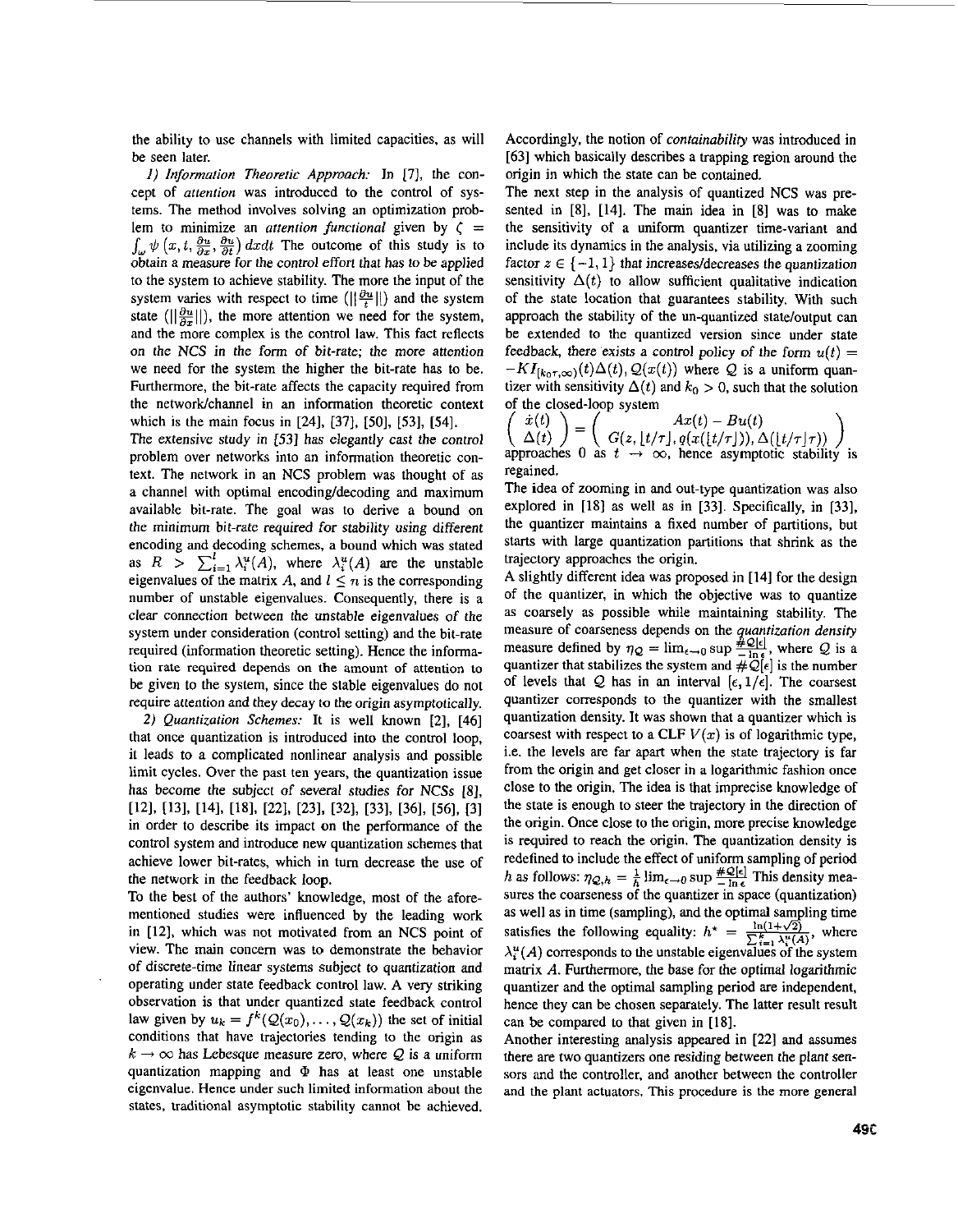the ability to use channels with limited capacities, as will be seen later.

*1) lnfonnation Theoretic Approach:* In [71, the concept of *attention* was introduced to the control of systems. The method involves solving an optimization problem to minimize an *attention functional* given by  $\zeta =$  $\int_{\omega} \psi(x, t, \frac{\partial u}{\partial x}, \frac{\partial u}{\partial t}) dx dt$  The outcome of this study is to obtain a measure for the control effort that has to be applied to the system to achieve stability. The more the input of the system varies with respect to time  $(||\frac{\partial u}{\partial x}||)$  and the system state ( $\left\|\frac{\partial u}{\partial x}\right\|$ ), the more attention we need for the system, and the more complex is the control law. This fact reflects on the NCS in the form of bit-rate; the more attention we need for the system the higher the bit-rate has to be. Furthermore, the bit-rate affects the capacity required from the network/channel in an information theoretic context which is the main focus in **[241, [371, [Sol, [531,** [541.

The extensive study in **[53]** has elegantly cast the control problem over networks into an information theoretic context. The network in an NCS problem was thought of **as**  a channel with optimal encoding/decoding and maximum available bit-rate. The goal was to derive a bound on the minimum bit-rate required for stability using different encoding and decoding schemes, a bound which was stated as  $R > \sum_{i=1}^{l} \lambda_i^u(A)$ , where  $\lambda_i^u(A)$  are the unstable eigenvalues of the matrix *A*, and  $l \leq n$  is the corresponding number of unstable eigenvalues. Consequently, there is a clear connection between the unstable eigenvalues of the system under consideration (control setting) and the bit-rate required (information theoretic setting). Hence the information rate required depends on the amount of attention to be given to the system, since the stable eigenvalues **do** not require attention and they decay to the origin asymptotically.

**2)** *Quantization Schemes:* It is well known **[2], [46]**  that once quantization is introduced into the control loop, it leads to a complicated nonlinear analysis and possible limit cycles. Over the past ten years, the quantization issue has become the subject of several studies for NCSs *[8],*  **[121, U31, [141, U81, [221, [231. [321, [331, [361, [561, [31**  in order to describe its impact on the performance of the control system and introduce new quantization schemes that achieve lower bit-rates, which in turn decrease the use of the network in the feedback **loop.** 

To the best of the authors' knowledge, most of the aforementioned studies were influenced by the leading work in **[121,** which was not motivated from an NCS point of view. The main concern was to demonstrate the behavior of discrete-time linear systems subject to quantization and operating under state feedback control law. A very striking observation is that under quantized state feedback control law given by  $u_k = f^k(Q(x_0), \ldots, Q(x_k))$  the set of initial conditions that have trajectories tending to the origin **as**   $k \rightarrow \infty$  has Lebesque measure zero, where *Q* is a uniform quantization mapping and *Q* **has** at least one unstable eigenvalue. Hence under such limited information about the states, traditional asymptotic stability cannot be achieved.

Accordingly, the notion of *containability* was introduced in **[63]** which basically describes a trapping region around the origin in which the state can be contained.

The next step in the analysis of quantized NCS was presented in [8], [14]. The main idea in [8] was to make the sensitivity of a uniform quantizer time-variant and include its dynamics in the analysis, via utilizing a zooming factor  $z \in \{-1, 1\}$  that increases/decreases the quantization sensitivity  $\Delta(t)$  to allow sufficient qualitative indication of the state location that guarantees stability. With such approach the stability of the un-quantized state/output can be extended to the quantized version since under state feedback, there exists a control policy of the form  $u(t) =$  $-KI_{[k_0\tau,\infty)}(t)\Delta(t)$ ,  $Q(x(t))$  where *Q* is a uniform quantizer with sensitivity  $\Delta(t)$  and  $k_0 > 0$ , such that the solution

of the closed-loop system<br>  $\begin{pmatrix} \dot{x}(t) \\ \Delta(t) \end{pmatrix} = \begin{pmatrix} Ax(t) - Bu(t) \\ G(z, \lfloor t/\tau \rfloor, q(x(\lfloor t/\tau \rfloor)), \Delta(\lfloor t/\tau \rfloor \tau)) \\ \text{approaches 0 as } t \rightarrow \infty, \text{ hence asymptotic stability is} \end{pmatrix}$ regained.

The idea of zooming in and out-type quantization was also explored in [I81 **as** well **as** in **[33].** Specifically, in **[33],**  the quantizer maintains a fixed number of partitions, but **starts** with large quantization partitions that shrink **as** the trajectory approaches the origin.

A slightly different idea was proposed in **[I41** for the design of the quantizer, in which the objective was to quantize as coarsely as possible while maintaining stability. The measure of coarseness depends on the *quantization density*  measure defined by  $\eta_Q = \lim_{\epsilon \to 0} \sup \frac{\hat{\#}^Q[\epsilon]}{\lambda}$ , where *Q* is a quantizer that stabilizes the system and  $\#\mathcal{Q}[\epsilon]$  is the number of levels that *Q* has in an interval  $[\epsilon, 1/\epsilon]$ . The coarsest quantizer corresponds to the quantizer with the smallest quantization density. It was shown that a quantizer which is coarsest with respect to a CLF  $V(x)$  is of logarithmic type, i.e. the levels are far apart when the state trajectory is far from the origin and get closer in a logarithmic fashion once close to the origin. The idea is that imprecise knowledge of the state is enough to steer the trajectory in the direction of the origin. Once close to the origin, more precise knowledge is required to reach the origin. The quantization density is redefined to include the effect of uniform sampling of period is required to reach the origin. The quantization density is<br>redefined to include the effect of uniform sampling of period<br>*h* as follows:  $\eta_{Q,h} = \frac{1}{h} \lim_{\epsilon \to 0} \sup_{z \to 0} \frac{\#\mathcal{Q}[z]}{\pi}$  This density mea-<br>sures the coar as well as in time (sampling), and the optimal sampling time  $\lambda_i^u(A)$  corresponds to the unstable eigenvalues of the system matrix *A*. Furthermore, the base for the optimal logarithmic quantizer and the optimal sampling period are independent, hence they can be chosen separately. The latter result result can be compared to that given in **[18].**  satisfies the following equality:  $h^* = \frac{\ln(1+\sqrt{2})}{\sum_{i=1}^{k} \lambda_i^u(A)}$ , where

Another interesting analysis appeared in **[221** and assumes there are two quantizers one residing between the plant sensors and the controller, and another between the controller and the plant actuators. This procedure is the more general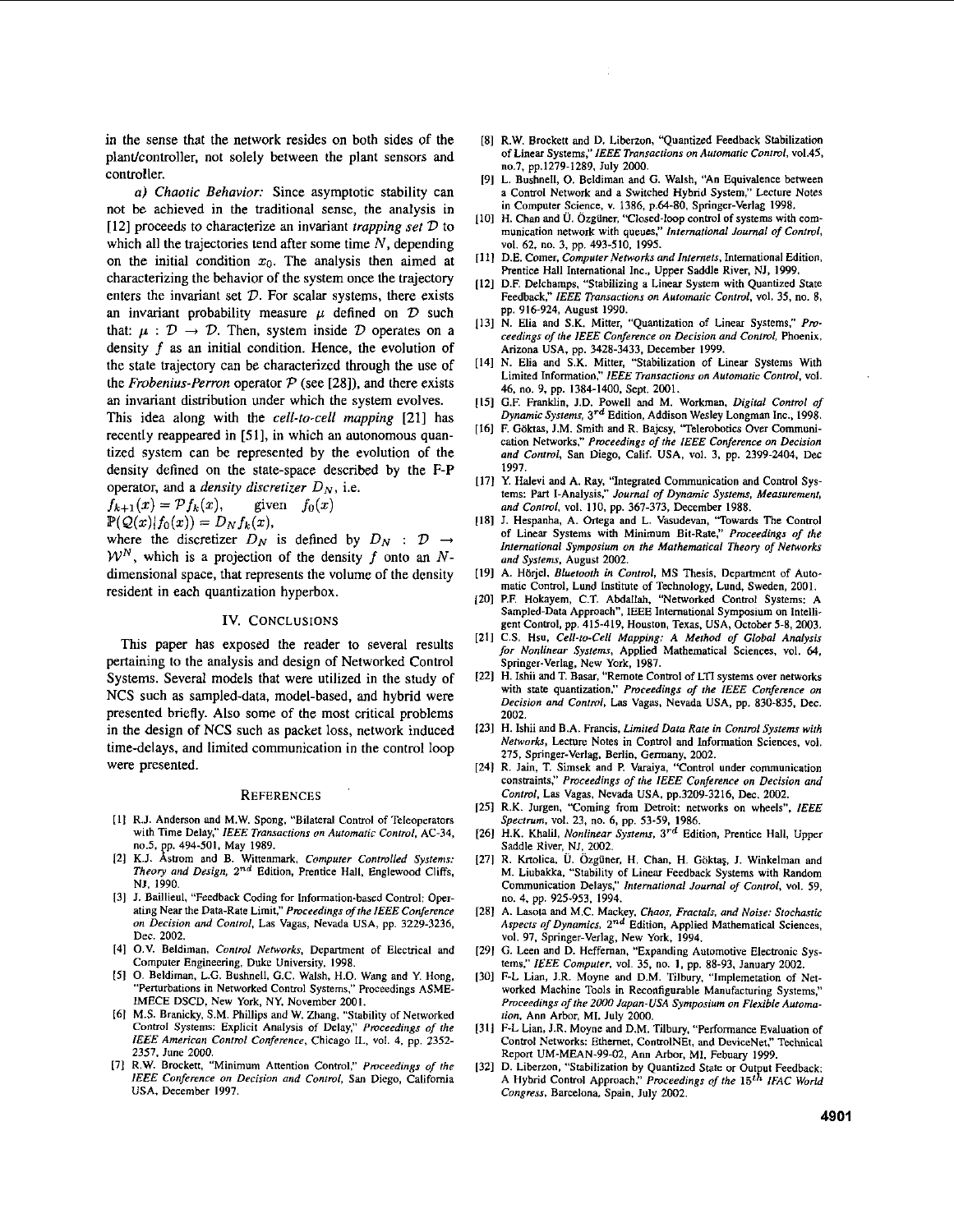in the sense that the network resides on both sides of the plant/controller, not solely between the plant sensors and controller.

*a) Chaotic Behavior:* Since asymptotic stability can not be achieved in the traditional sense, the analysis in [12] proceeds to characterize an invariant *trapping set*  $D$  to which all the trajectories tend after some time *N,* depending on the initial condition  $x_0$ . The analysis then aimed at characterizing the behavior of the system once the trajectory enters the invariant set *D*. For scalar systems, there exists an invariant probability measure  $\mu$  defined on  $\mathcal D$  such that:  $\mu : \mathcal{D} \to \mathcal{D}$ . Then, system inside  $\mathcal D$  operates on a density f as an initial condition. Hence, the evolution of the state trajectory can be characterized through the use of the *Frobenius-Perron* operator  $P$  (see [28]), and there exists an invariant distribution under which the system evolves.

This idea along with the *cell-to-cell mapping* [21] has recently reappeared in **[Si],** in which an autonomous quantized system can be represented by the evolution of the density defined on the state-space described by the **F-P**  operator, and a *density discretizer*  $D<sub>N</sub>$ , i.e.

 $f_{k+1}(x) = \mathcal{P}f_k(x)$ , given  $f_0(x)$  $\mathbb{P}(\mathcal{Q}(x)|f_0(x)) = D_Nf_k(x),$ 

where the discretizer  $D_N$  is defined by  $D_N$  :  $\mathcal{D} \rightarrow$  $\mathcal{W}^N$ , which is a projection of the density f onto an Ndimensional space, that represents the volume of the density resident in each quantization hyperbox.

#### **IV.** CONCLUSIONS

This paper has exposed the reader to several results pertaining to the analysis and design of Networked Control Systems. Several models that were utilized in the study of NCS such as sampled-data, model-based, and hybrid were presented briefly. **Also** some of the most critical problems in the design of NCS such as packet loss, network induced time-delays, and limited communication in the control loop were presented.

#### **REFERENCES**

- [1] R.J. Anderson and M.W. Spong, "Bilateral Control of Teleoperators with Time Delay." *iEEE Transactions on Automatic Control.* **AC-34,**  p. 494-501, May 1989.
- mom and B. Wittenmark. *Computer Conrmiied Systems:*  **121**  *Theory and Design, 2"d* Edition, Prentice Hall, Englewaod Cliffs, NI. 1990.
- I31 J. Baillieul. "Feedback Coding for Information-based Control: Operating Near the Data-Rate Limit," *Pmceedings ofthe IEEE Conference on Decision and Conrmi.* **Las** Vagas, Nevada USA, pp. 3229.3236, **Dec.** 2002.
- [4] O.V. Beldiman, *Control Networks*, Department of Electrical and Computer Engineering. Duke University. 1998.
- *<sup>151</sup>*0. Beldiman. **L.G.** Bushnell. G.C. Walsh, H.O. Wang and Y. **Hong,**  "Perturbations in Networked Control Systems." Proceedings ASME-IMECE DSCD, New York, NY. November 2001.
- I61 M.S. Branicky, S.M. Phillips and W. Zhang. "Stability of Networked Control **Systems:** Explicit Analysis of Delay." *Proceedings* **of** *rhe IEEE American Conrml Conference,* Chicago IL, **vol.** 4, pp. 2352- 2357, **June** 2000.
- E71 R.W. Brockett. "Minimum Anention Control:' *Pmceedings of rhe IEEE Conference on Decision and Conrmi,* San Diego, California USA. December 1997.
- [8] R.W. Brockett and D. Liberzon, "Quantized Feedback Stabilization of Linear Systems:' IEEE *Transactions on Automoric Contml,* ~01.45, **"0.7.** pp.1279-1289, July ZOM).
- [9] L. Bushnell, *0.* Beldiman and G. Walsh, "An Equivalence between **a** Control Network and **a** Switched Hybnd System." Lecture Notes in Computer Science, **v.** 1386. p.6480. Springer-Verlag 1998.
- [IO] H. Chan and **U. Ozganer,** 'Closed-loop control of systems with communication network with queues:' *Intrmarionnl Joumni of Conrmi,*  vol. 62, **no.** 3. pp. 493-510, 1995.
- **[I** *11* DE. Comer. Computer Networks *and Intemets,* lntemational Edition, Prentice Hall lntemational Inc., Upper Saddle River, NJ, **1999.**
- [I21 D.F, Delchamps. "Stabilizing **a** Linear System with Quantized State Feedback:' *IEEE Trmsactions on Automatic Contml,* **vol.** 35, **no. 8,**  pp. 916-924, August 1990.
- 1131 N. Elia and S.K. Mitter, "Quantization of Linear Systems:' *Pmceedings of the IEEE Conference on Decision and Control, Phoenix,* Arizona USA. pp. 3428-3433. December 1999.
- **[I41** N. Elia and S.K. Mitter, "Stabilization of Linear Systems With Limited Information;' *iEEE Tronsacliom* **on** *Aulomatic Conrmi.* **vol.**  46. no. 9, pp. 1384-1400. Sept. 2001.
- [I51 G.F. Franklin, 1.0. Powell and M. Workman. *Digital Contml of Dynamic System,* **3'd** Edition. Addison Wesley Longman Inc.. 1998.
- [16] F. Göktas, J.M. Smith and R. Bajcsy, "Telerobotics Over Communication Networks:' *Pmceedings ofthe* IEEE *Conference on Decision and Contml,* San Diego, Calif. USA, **vol.** 3, pp. 2399-2404. Dec 1997.
- [17] Y. Halevi and A. Ray, "Integrated Communication and Control Systems: Part I-Analysis:' *Joumnl of Dynamic System, Measurement, nnd Conrmi.* **vol.** 110. pp. 367-373. December 1988.
- 1181 **J.** Hespanha, A. **Ortega** and L. Vasudevan, 'Towards The Control of Linear Systems with Minimum Bit-Rate," *Pmceedings of the lnternnrional Symposium on rhe Mathematlcai Theoq of* Networks *and Syslem.* August 2002.
- [19] A. Hörjel, *Bluetooth in Control*, MS Thesis, Department of Automatic Control, Lund Institute **of** Technology. Lund. Sweden. 2001.
- I201 P.F. Hakayem, C.T. Abdallah. "Networked Control Systems: A Sampled-Data Approach". IEEE International Symposium **on** Intelligent Control, pp. 415-419. Houston, Texas. USA, October **5-8.** 2003.
- I211 C.S. Hsu. *Ceii-to-Cell Mapping: A Method of Ciobai Analysis for Nonlinear Sysfcms,* Applied Mathematical Sciences. vol. *64,*  Springer-Verlag. New York, 1987.
- [22] H. Ishii and T. Basar, "Remote Control of LTI systems over networks with state quantization:' *Pmeeedings of the IEEE Conference on Decision and Conrmi.* Las Vagas. Nevada USA, pp. 830-835. Dec. 2002.
- I231 H. lshii and B.A. Francis, *LimitedDora* Rote *in Contml Sysrems with*  Networks, Lecture Notes in Control and Information Sciences. vol. 275, Springer-Verlag. Berlin. Germany. 2002.
- 1241 R. Jain, T. Simsek and **P.** Varaiya, ''Control under communication constraints," Proceedings of the IEEE Conference on Decision and *Conlml,* Las Vagas. Nevada USA. pp.3209-3216, Dec. 2002.
- 125] R.K. Jurgen, "Coming from Detroit: networks on wheels", IEEE *Spectrum,* vol. 23, **no.** 6, pp. 53-59. 1986.
- [26l H.K. Khalil. *Nonlinear Systems, 37d* Edition, Prentice Hall, Upper Saddle River, NJ, 2002.
- I271 R. Krtolica, U. Ozguner, H. Chan. H. **G6ktq.** I. Winkelman and M. Liubakka, "Stability of Linear Feedback Systems with Random Communication Delays:' *Inremarionai Joumal of Conrmi,* vol. 59, **no.** 4. pp. 925-953, 1994.
- **[281** A. Lasota and M.C. Mackey, *Chaos, Fractois, and* Noise: *Stochastic Aspecrs of Dynamics, 2"d* Edition, Applied Mathematical Sciences, **vol.** 97. Springer-Verlag. New York. 1994.
- 1291 G. **Leen** and D. Heffeman. "Expanding Automotive Electronic Systems," IEEE Computer, vol. 35, no. 1, pp. 88-93, January 2002.
- 1301 F-L Lian, I.R. Moyne and D.M. Tilbury. "lmplemetation of Networked Machine Tools in Reconfigurable Manufacturing Systems." *Pmccedings offhe 2000 Japan-LISA Symposium on Flexible Automolion,* Ann Arbor, MI. July 2000.
- [31] F-L Lian, J.R. Moyne and D.M. Tilbury, "Performance Evaluation of Control Networks: **Ethemet,** ControlNEt. and DeviceNet:' Technical Report UM-MEAN-99-02, Ann Arbor, MI. Febuary 1999.
- 1321 D. Liberzon, "Stabilization by Quantized State or Output Feedback: *Congress,* Barcelona. Spaio, July 2002. A Hybrid Control Approach," Proceedings of the 15<sup>th</sup> IFAC World